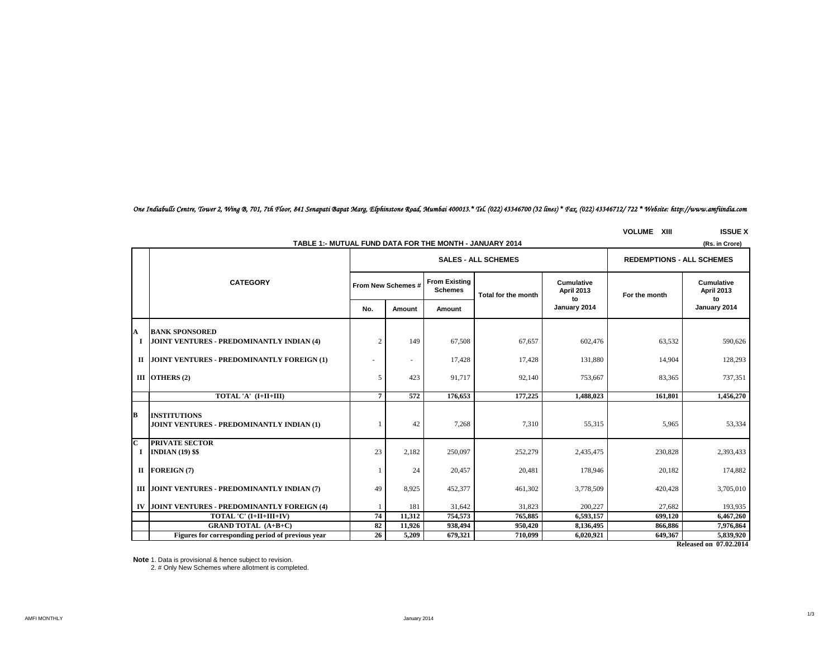# *One Indiabulls Centre, Tower 2, Wing B, 701, 7th Floor, 841 Senapati Bapat Marg, Elphinstone Road, Mumbai 400013.\* Tel. (022) 43346700 (32 lines) \* Fax. (022) 43346712/ 722 \* Website: http://www.amfiindia.com*

**VOLUME XIII ISSUE X**

|                              | TABLE 1:- MUTUAL FUND DATA FOR THE MONTH - JANUARY 2014<br>(Rs. in Crore) |                |                    |                                        |                                  |                                        |               |                                        |  |  |  |
|------------------------------|---------------------------------------------------------------------------|----------------|--------------------|----------------------------------------|----------------------------------|----------------------------------------|---------------|----------------------------------------|--|--|--|
|                              |                                                                           |                |                    | <b>SALES - ALL SCHEMES</b>             | <b>REDEMPTIONS - ALL SCHEMES</b> |                                        |               |                                        |  |  |  |
|                              | <b>CATEGORY</b>                                                           |                | From New Schemes # | <b>From Existing</b><br><b>Schemes</b> | Total for the month              | <b>Cumulative</b><br><b>April 2013</b> | For the month | <b>Cumulative</b><br><b>April 2013</b> |  |  |  |
|                              |                                                                           | No.            | Amount             | Amount                                 |                                  | to<br>January 2014                     |               | to<br>January 2014                     |  |  |  |
| A                            | <b>BANK SPONSORED</b><br>JOINT VENTURES - PREDOMINANTLY INDIAN (4)        | $\overline{2}$ | 149                | 67,508                                 | 67,657                           | 602,476                                | 63,532        | 590,626                                |  |  |  |
|                              | II JOINT VENTURES - PREDOMINANTLY FOREIGN (1)                             |                |                    | 17,428                                 | 17,428                           | 131,880                                | 14,904        | 128,293                                |  |  |  |
|                              | III OTHERS (2)                                                            | 5              | 423                | 91.717                                 | 92,140                           | 753,667                                | 83,365        | 737,351                                |  |  |  |
|                              | TOTAL 'A' (I+II+III)                                                      | $\overline{7}$ | 572                | 176,653                                | 177,225                          | 1.488.023                              | 161.801       | 1,456,270                              |  |  |  |
| B                            | <b>INSTITUTIONS</b><br>JOINT VENTURES - PREDOMINANTLY INDIAN (1)          |                | 42                 | 7,268                                  | 7,310                            | 55,315                                 | 5,965         | 53,334                                 |  |  |  |
| $\overline{\mathbf{c}}$<br>1 | <b>PRIVATE SECTOR</b><br><b>INDIAN (19) \$\$</b>                          | 23             | 2,182              | 250,097                                | 252,279                          | 2,435,475                              | 230,828       | 2,393,433                              |  |  |  |
|                              | II FOREIGN(7)                                                             |                | 24                 | 20,457                                 | 20,481                           | 178,946                                | 20,182        | 174,882                                |  |  |  |
|                              | III JOINT VENTURES - PREDOMINANTLY INDIAN (7)                             | 49             | 8,925              | 452,377                                | 461,302                          | 3,778,509                              | 420,428       | 3,705,010                              |  |  |  |
| IV                           | JOINT VENTURES - PREDOMINANTLY FOREIGN (4)                                |                | 181                | 31,642                                 | 31,823                           | 200,227                                | 27,682        | 193,935                                |  |  |  |
|                              | TOTAL 'C' (I+II+III+IV)                                                   | 74             | 11,312             | 754,573                                | 765,885                          | 6,593,157                              | 699,120       | 6,467,260                              |  |  |  |
|                              | <b>GRAND TOTAL (A+B+C)</b>                                                | 82             | 11,926             | 938,494                                | 950,420                          | 8,136,495                              | 866,886       | 7,976,864                              |  |  |  |
|                              | Figures for corresponding period of previous year                         | 26             | 5,209              | 679,321                                | 710.099                          | 6,020,921                              | 649,367       | 5,839,920                              |  |  |  |

**Released on 07.02.2014**

**Note** 1. Data is provisional & hence subject to revision.

2. # Only New Schemes where allotment is completed.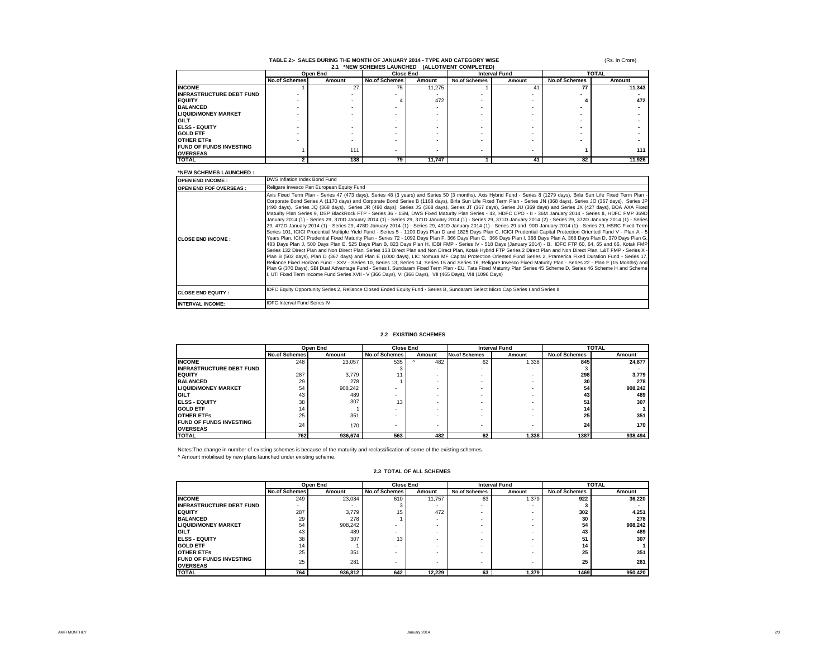# **TABLE 2:- SALES DURING THE MONTH OF JANUARY 2014 - TYPE AND CATEGORY WISE 2.1 \*NEW SCHEMES LAUNCHED (ALLOTMENT COMPLETED)**

(Rs. in Crore)

|                                 | Open End             |        | <b>Close End</b>     |        | <b>Interval Fund</b> |        | <b>TOTAL</b>         |        |  |
|---------------------------------|----------------------|--------|----------------------|--------|----------------------|--------|----------------------|--------|--|
|                                 | <b>No.of Schemes</b> | Amount | <b>No.of Schemes</b> | Amount | <b>No.of Schemes</b> | Amount | <b>No.of Schemes</b> | Amount |  |
| <b>INCOME</b>                   |                      | 27     | 75                   | 11,275 |                      |        | 77                   | 11,343 |  |
| <b>INFRASTRUCTURE DEBT FUND</b> |                      |        |                      |        | ۰                    |        |                      |        |  |
| <b>EQUITY</b>                   |                      | ۰      |                      | 472    |                      |        |                      | 472    |  |
| <b>BALANCED</b>                 |                      |        |                      |        |                      |        |                      |        |  |
| <b>LIQUID/MONEY MARKET</b>      |                      | ۰      |                      |        |                      |        |                      |        |  |
| <b>GILT</b>                     |                      | ۰      |                      | ۰      | ۰                    |        |                      |        |  |
| <b>IELSS - EQUITY</b>           |                      | ۰      |                      | ۰      | ۰                    |        |                      |        |  |
| <b>GOLD ETF</b>                 |                      | ۰      |                      | ۰      | ۰                    |        |                      |        |  |
| <b>OTHER ETFS</b>               |                      | ۰      |                      |        |                      |        |                      |        |  |
| <b>FUND OF FUNDS INVESTING</b>  |                      | 111    |                      |        | ۰                    |        |                      | 111    |  |
| <b>OVERSEAS</b>                 |                      |        |                      |        |                      |        |                      |        |  |
| <b>TOTAL</b>                    |                      | 138    | 79                   | 11.747 |                      | 41     | 82                   | 11.926 |  |

### **\*NEW SCHEMES LAUNCHED :**

| NEW SUREWES LAUNURED.<br><b>OPEN END INCOME:</b> | DWS Inflation Index Bond Fund                                                                                                                                                                                                                                                                                                                                                                                                                                                                                                                                                                                                                                                                                                                                                                                                                                                                                                                                                                                                                                                                                                                                                                                                                                                                                                                                                                                                                                                                                                                                                                                                                                                                                                                                                                                                                                                                                                                                                                                                                                                                                                                                                                                                                                                                                                                               |
|--------------------------------------------------|-------------------------------------------------------------------------------------------------------------------------------------------------------------------------------------------------------------------------------------------------------------------------------------------------------------------------------------------------------------------------------------------------------------------------------------------------------------------------------------------------------------------------------------------------------------------------------------------------------------------------------------------------------------------------------------------------------------------------------------------------------------------------------------------------------------------------------------------------------------------------------------------------------------------------------------------------------------------------------------------------------------------------------------------------------------------------------------------------------------------------------------------------------------------------------------------------------------------------------------------------------------------------------------------------------------------------------------------------------------------------------------------------------------------------------------------------------------------------------------------------------------------------------------------------------------------------------------------------------------------------------------------------------------------------------------------------------------------------------------------------------------------------------------------------------------------------------------------------------------------------------------------------------------------------------------------------------------------------------------------------------------------------------------------------------------------------------------------------------------------------------------------------------------------------------------------------------------------------------------------------------------------------------------------------------------------------------------------------------------|
| <b>IOPEN END FOF OVERSEAS :</b>                  | Religare Invesco Pan European Equity Fund                                                                                                                                                                                                                                                                                                                                                                                                                                                                                                                                                                                                                                                                                                                                                                                                                                                                                                                                                                                                                                                                                                                                                                                                                                                                                                                                                                                                                                                                                                                                                                                                                                                                                                                                                                                                                                                                                                                                                                                                                                                                                                                                                                                                                                                                                                                   |
| <b>CLOSE END INCOME:</b>                         | Axis Fixed Term Plan - Series 47 (473 days), Series 48 (3 years) and Series 50 (3 months), Axis Hybrid Fund - Series 8 (1279 days), Birla Sun Life Fixed Term Plan -<br>Corporate Bond Series A (1170 days) and Corporate Bond Series B (1168 days), Birla Sun Life Fixed Term Plan - Series JN (368 days), Series JO (367 days), Series JP<br>(490 days), Series JQ (368 days), Series JR (490 days), Series JS (368 days), Series JT (367 days), Series JU (369 days) and Series JX (427 days), BOA AXA Fixed<br>Maturity Plan Series 9, DSP BlackRock FTP - Series 36 - 15M, DWS Fixed Maturity Plan Series - 42, HDFC CPO - II - 36M January 2014 - Series II, HDFC FMP 369D<br>January 2014 (1) - Series 29, 370D January 2014 (1) - Series 29, 371D January 2014 (1) - Series 29, 371D January 2014 (2) - Series 29, 372D January 2014 (1) - Series<br>29, 472D January 2014 (1) - Series 29, 478D January 2014 (1) - Series 29, 491D January 2014 (1) - Series 29 and 90D January 2014 (1) - Series 29, HSBC Fixed Term<br>Series 101, ICICI Prudential Multiple Yield Fund - Series 5 - 1100 Days Plan D and 1825 Days Plan C, ICICI Prudential Capital Protection Oriented Fund V - Plan A - 5<br>Years Plan, ICICI Prudential Fixed Maturity Plan - Series 72 - 1092 Days Plan F, 366 Days Plan C, 366 Days Plan I, 368 Days Plan A, 368 Days Plan D, 370 Days Plan G,<br>483 Days Plan J, 500 Days Plan E, 525 Days Plan B, 823 Days Plan H, IDBI FMP - Series IV - 518 Days (January 2014) - B, IDFC FTP 60, 64, 65 and 66, Kotak FMP<br>Series 132 Direct Plan and Non Direct Plan, Series 133 Direct Plan and Non Direct Plan, Kotak Hybrid FTP Series 2 Direct Plan and Non Direct Plan, L&T FMP - Series X -<br>Plan B (502 days), Plan D (367 days) and Plan E (1000 days), LIC Nomura MF Capital Protection Oriented Fund Series 2, Pramerica Fixed Duration Fund - Series 17,<br>Reliance Fixed Horizon Fund - XXV - Series 10, Series 13, Series 14, Series 15 and Series 16, Religare Invesco Fixed Maturity Plan - Series 22 - Plan F (15 Months) and<br>Plan G (370 Days), SBI Dual Advantage Fund - Series I, Sundaram Fixed Term Plan - EU, Tata Fixed Maturity Plan Series 45 Scheme D, Series 46 Scheme H and Scheme<br>, UTI Fixed Term Income Fund Series XVII - V (366 Days), VI (366 Days), VII (465 Days), VIII (1096 Days) |
| <b>ICLOSE END EQUITY :</b>                       | IDFC Equity Opportunity Series 2, Reliance Closed Ended Equity Fund - Series B, Sundaram Select Micro Cap Series I and Series II                                                                                                                                                                                                                                                                                                                                                                                                                                                                                                                                                                                                                                                                                                                                                                                                                                                                                                                                                                                                                                                                                                                                                                                                                                                                                                                                                                                                                                                                                                                                                                                                                                                                                                                                                                                                                                                                                                                                                                                                                                                                                                                                                                                                                            |
| <b>INTERVAL INCOME:</b>                          | <b>IDFC Interval Fund Series IV</b>                                                                                                                                                                                                                                                                                                                                                                                                                                                                                                                                                                                                                                                                                                                                                                                                                                                                                                                                                                                                                                                                                                                                                                                                                                                                                                                                                                                                                                                                                                                                                                                                                                                                                                                                                                                                                                                                                                                                                                                                                                                                                                                                                                                                                                                                                                                         |

#### **2.2 EXISTING SCHEMES**

|                                                   |               | Open End | <b>Close End</b>     |        | <b>Interval Fund</b> |        | <b>TOTAL</b>         |         |
|---------------------------------------------------|---------------|----------|----------------------|--------|----------------------|--------|----------------------|---------|
|                                                   | No.of Schemes | Amount   | <b>No.of Schemes</b> | Amount | <b>No.of Schemes</b> | Amount | <b>No.of Schemes</b> | Amount  |
| <b>INCOME</b>                                     | 248           | 23.057   | 535                  | 482    | 62                   | 1.338  | 845                  | 24.877  |
| <b>INFRASTRUCTURE DEBT FUND</b>                   |               |          |                      |        | ۰                    |        |                      |         |
| <b>IEQUITY</b>                                    | 287           | 3.779    |                      |        | ۰                    |        | 298                  | 3.779   |
| <b>BALANCED</b>                                   | 29            | 278      |                      | -      | ۰                    |        | 30                   | 278     |
| <b>LIQUID/MONEY MARKET</b>                        | 54            | 908.242  |                      | $\sim$ |                      |        | 54                   | 908.242 |
| <b>GILT</b>                                       | 43            | 489      |                      |        |                      |        | 43                   | 489     |
| <b>IELSS - EQUITY</b>                             | 38            | 307      | 13                   |        |                      |        | 51                   | 307     |
| <b>GOLD ETF</b>                                   | 14            |          |                      |        | ۰                    |        | 14                   |         |
| <b>OTHER ETFS</b>                                 | 25            | 351      |                      | $\sim$ | ۰                    |        | 25                   | 351     |
| <b>FUND OF FUNDS INVESTING</b><br><b>OVERSEAS</b> | 24            | 170      | -                    | -      | ۰                    |        | 24                   | 170     |
| <b>TOTAL</b>                                      | 762           | 936.674  | 563                  | 482    | 62                   | 1.338  | 1387                 | 938.494 |

Notes:The change in number of existing schemes is because of the maturity and reclassification of some of the existing schemes. ^ Amount mobilised by new plans launched under existing scheme.

#### **2.3 TOTAL OF ALL SCHEMES**

|                                 | Open End             |         | <b>Close End</b>     |        | <b>Interval Fund</b> |        | <b>TOTAL</b>         |         |
|---------------------------------|----------------------|---------|----------------------|--------|----------------------|--------|----------------------|---------|
|                                 | <b>No.of Schemes</b> | Amount  | <b>No.of Schemes</b> | Amount | <b>No.of Schemes</b> | Amount | <b>No.of Schemes</b> | Amount  |
| <b>INCOME</b>                   | 249                  | 23.084  | 610                  | 11.757 | 63                   | 1.379  | 922                  | 36.220  |
| <b>INFRASTRUCTURE DEBT FUND</b> |                      | ۰       |                      | ۰      | ۰                    |        |                      |         |
| <b>IEQUITY</b>                  | 287                  | 3.779   | 15                   | 472    |                      |        | 302                  | 4.251   |
| <b>BALANCED</b>                 | 29                   | 278     |                      | ٠      |                      |        | 30                   | 278     |
| <b>LIQUID/MONEY MARKET</b>      | 54                   | 908,242 |                      | ٠      | ۰                    |        | 54                   | 908,242 |
| <b>GILT</b>                     | 43                   | 489     |                      | ٠      |                      |        | 43                   | 489     |
| <b>ELSS - EQUITY</b>            | 38                   | 307     | 13                   | ٠      |                      |        | 51                   | 307     |
| <b>GOLD ETF</b>                 | 14                   |         |                      | ٠      | ۰                    |        | 14                   |         |
| <b>OTHER ETFS</b>               | 25                   | 351     |                      |        |                      |        | 25                   | 351     |
| <b>IFUND OF FUNDS INVESTING</b> | 25                   | 281     |                      |        |                      |        | 25                   | 281     |
| <b>OVERSEAS</b>                 |                      |         | $\,$                 | ٠      |                      |        |                      |         |
| <b>ITOTAL</b>                   | 764                  | 936.812 | 642                  | 12.229 | 63                   | 1.379  | 1469                 | 950.420 |